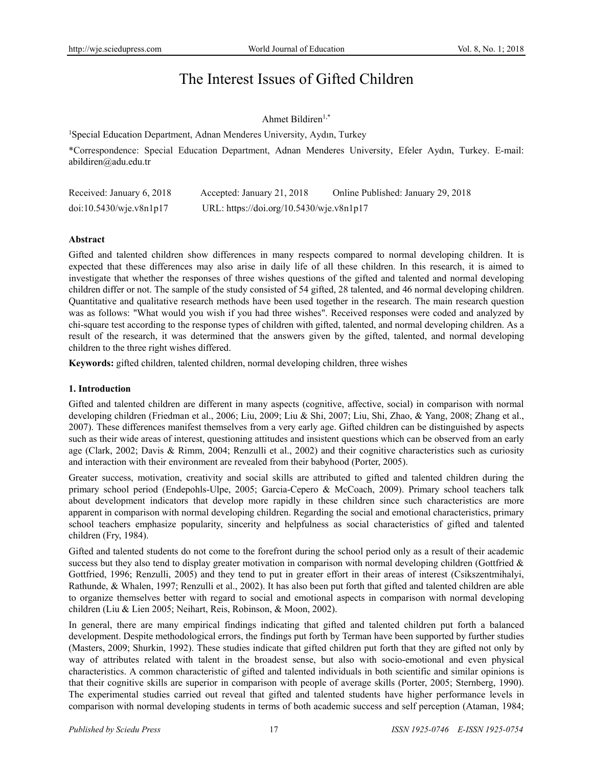# The Interest Issues of Gifted Children

# Ahmet Bildiren1,\*

1 Special Education Department, Adnan Menderes University, Aydın, Turkey

\*Correspondence: Special Education Department, Adnan Menderes University, Efeler Aydın, Turkey. E-mail: abildiren@adu.edu.tr

| Received: January 6, 2018 | Accepted: January 21, 2018               | Online Published: January 29, 2018 |
|---------------------------|------------------------------------------|------------------------------------|
| doi:10.5430/wje.v8n1p17   | URL: https://doi.org/10.5430/wje.v8n1p17 |                                    |

## **Abstract**

Gifted and talented children show differences in many respects compared to normal developing children. It is expected that these differences may also arise in daily life of all these children. In this research, it is aimed to investigate that whether the responses of three wishes questions of the gifted and talented and normal developing children differ or not. The sample of the study consisted of 54 gifted, 28 talented, and 46 normal developing children. Quantitative and qualitative research methods have been used together in the research. The main research question was as follows: "What would you wish if you had three wishes". Received responses were coded and analyzed by chi-square test according to the response types of children with gifted, talented, and normal developing children. As a result of the research, it was determined that the answers given by the gifted, talented, and normal developing children to the three right wishes differed.

**Keywords:** gifted children, talented children, normal developing children, three wishes

# **1. Introduction**

Gifted and talented children are different in many aspects (cognitive, affective, social) in comparison with normal developing children (Friedman et al., 2006; Liu, 2009; Liu & Shi, 2007; Liu, Shi, Zhao, & Yang, 2008; Zhang et al., 2007). These differences manifest themselves from a very early age. Gifted children can be distinguished by aspects such as their wide areas of interest, questioning attitudes and insistent questions which can be observed from an early age (Clark, 2002; Davis & Rimm, 2004; Renzulli et al., 2002) and their cognitive characteristics such as curiosity and interaction with their environment are revealed from their babyhood (Porter, 2005).

Greater success, motivation, creativity and social skills are attributed to gifted and talented children during the primary school period (Endepohls-Ulpe, 2005; Garcia-Cepero & McCoach, 2009). Primary school teachers talk about development indicators that develop more rapidly in these children since such characteristics are more apparent in comparison with normal developing children. Regarding the social and emotional characteristics, primary school teachers emphasize popularity, sincerity and helpfulness as social characteristics of gifted and talented children (Fry, 1984).

Gifted and talented students do not come to the forefront during the school period only as a result of their academic success but they also tend to display greater motivation in comparison with normal developing children (Gottfried  $\&$ Gottfried, 1996; Renzulli, 2005) and they tend to put in greater effort in their areas of interest (Csikszentmihalyi, Rathunde, & Whalen, 1997; Renzulli et al., 2002). It has also been put forth that gifted and talented children are able to organize themselves better with regard to social and emotional aspects in comparison with normal developing children (Liu & Lien 2005; Neihart, Reis, Robinson, & Moon, 2002).

In general, there are many empirical findings indicating that gifted and talented children put forth a balanced development. Despite methodological errors, the findings put forth by Terman have been supported by further studies (Masters, 2009; Shurkin, 1992). These studies indicate that gifted children put forth that they are gifted not only by way of attributes related with talent in the broadest sense, but also with socio-emotional and even physical characteristics. A common characteristic of gifted and talented individuals in both scientific and similar opinions is that their cognitive skills are superior in comparison with people of average skills (Porter, 2005; Sternberg, 1990). The experimental studies carried out reveal that gifted and talented students have higher performance levels in comparison with normal developing students in terms of both academic success and self perception (Ataman, 1984;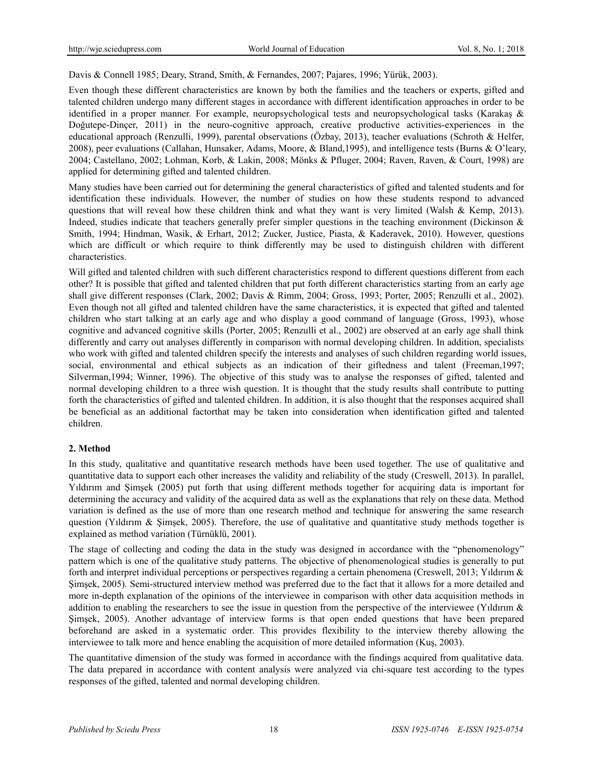Davis & Connell 1985; Deary, Strand, Smith, & Fernandes, 2007; Pajares, 1996; Yürük, 2003).

Even though these different characteristics are known by both the families and the teachers or experts, gifted and talented children undergo many different stages in accordance with different identification approaches in order to be identified in a proper manner. For example, neuropsychological tests and neuropsychological tasks (Karakaş & Doğutepe-Dinçer, 2011) in the neuro-cognitive approach, creative productive activities-experiences in the educational approach (Renzulli, 1999), parental observations (Özbay, 2013), teacher evaluations (Schroth & Helfer, 2008), peer evaluations (Callahan, Hunsaker, Adams, Moore, & Bland,1995), and intelligence tests (Burns & O'leary, 2004; Castellano, 2002; Lohman, Korb, & Lakin, 2008; Mönks & Pfluger, 2004; Raven, Raven, & Court, 1998) are applied for determining gifted and talented children.

Many studies have been carried out for determining the general characteristics of gifted and talented students and for identification these individuals. However, the number of studies on how these students respond to advanced questions that will reveal how these children think and what they want is very limited (Walsh & Kemp, 2013). Indeed, studies indicate that teachers generally prefer simpler questions in the teaching environment (Dickinson  $\&$ Smith, 1994; Hindman, Wasik, & Erhart, 2012; Zucker, Justice, Piasta, & Kaderavek, 2010). However, questions which are difficult or which require to think differently may be used to distinguish children with different characteristics.

Will gifted and talented children with such different characteristics respond to different questions different from each other? It is possible that gifted and talented children that put forth different characteristics starting from an early age shall give different responses (Clark, 2002; Davis & Rimm, 2004; Gross, 1993; Porter, 2005; Renzulli et al., 2002). Even though not all gifted and talented children have the same characteristics, it is expected that gifted and talented children who start talking at an early age and who display a good command of language (Gross, 1993), whose cognitive and advanced cognitive skills (Porter, 2005; Renzulli et al., 2002) are observed at an early age shall think differently and carry out analyses differently in comparison with normal developing children. In addition, specialists who work with gifted and talented children specify the interests and analyses of such children regarding world issues, social, environmental and ethical subjects as an indication of their giftedness and talent (Freeman,1997; Silverman,1994; Winner, 1996). The objective of this study was to analyse the responses of gifted, talented and normal developing children to a three wish question. It is thought that the study results shall contribute to putting forth the characteristics of gifted and talented children. In addition, it is also thought that the responses acquired shall be beneficial as an additional factorthat may be taken into consideration when identification gifted and talented children.

## **2. Method**

In this study, qualitative and quantitative research methods have been used together. The use of qualitative and quantitative data to support each other increases the validity and reliability of the study (Creswell, 2013). In parallel, Yıldırım and Şimşek (2005) put forth that using different methods together for acquiring data is important for determining the accuracy and validity of the acquired data as well as the explanations that rely on these data. Method variation is defined as the use of more than one research method and technique for answering the same research question (Yıldırım & Şimşek, 2005). Therefore, the use of qualitative and quantitative study methods together is explained as method variation (Türnüklü, 2001).

The stage of collecting and coding the data in the study was designed in accordance with the "phenomenology" pattern which is one of the qualitative study patterns. The objective of phenomenological studies is generally to put forth and interpret individual perceptions or perspectives regarding a certain phenomena (Creswell, 2013; Yıldırım & Şimşek, 2005). Semi-structured interview method was preferred due to the fact that it allows for a more detailed and more in-depth explanation of the opinions of the interviewee in comparison with other data acquisition methods in addition to enabling the researchers to see the issue in question from the perspective of the interviewee (Yıldırım & Şimşek, 2005). Another advantage of interview forms is that open ended questions that have been prepared beforehand are asked in a systematic order. This provides flexibility to the interview thereby allowing the interviewee to talk more and hence enabling the acquisition of more detailed information (Kuş, 2003).

The quantitative dimension of the study was formed in accordance with the findings acquired from qualitative data. The data prepared in accordance with content analysis were analyzed via chi-square test according to the types responses of the gifted, talented and normal developing children.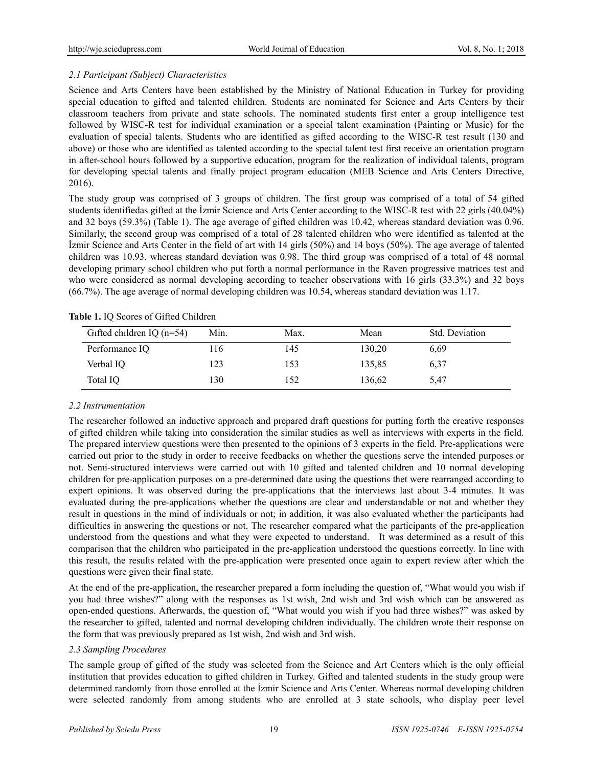# *2.1 Participant (Subject) Characteristics*

Science and Arts Centers have been established by the Ministry of National Education in Turkey for providing special education to gifted and talented children. Students are nominated for Science and Arts Centers by their classroom teachers from private and state schools. The nominated students first enter a group intelligence test followed by WISC-R test for individual examination or a special talent examination (Painting or Music) for the evaluation of special talents. Students who are identified as gifted according to the WISC-R test result (130 and above) or those who are identified as talented according to the special talent test first receive an orientation program in after-school hours followed by a supportive education, program for the realization of individual talents, program for developing special talents and finally project program education (MEB Science and Arts Centers Directive, 2016).

The study group was comprised of 3 groups of children. The first group was comprised of a total of 54 gifted students identifiedas gifted at the İzmir Science and Arts Center according to the WISC-R test with 22 girls (40.04%) and 32 boys (59.3%) (Table 1). The age average of gifted children was 10.42, whereas standard deviation was 0.96. Similarly, the second group was comprised of a total of 28 talented children who were identified as talented at the İzmir Science and Arts Center in the field of art with 14 girls (50%) and 14 boys (50%). The age average of talented children was 10.93, whereas standard deviation was 0.98. The third group was comprised of a total of 48 normal developing primary school children who put forth a normal performance in the Raven progressive matrices test and who were considered as normal developing according to teacher observations with 16 girls (33.3%) and 32 boys (66.7%). The age average of normal developing children was 10.54, whereas standard deviation was 1.17.

| Gifted children IQ $(n=54)$ | Min. | Max. | Mean   | Std. Deviation |
|-----------------------------|------|------|--------|----------------|
| Performance IQ              | .16  | 145  | 130,20 | 6.69           |
| Verbal IO                   | 123  | 153  | 135,85 | 6.37           |
| Total IO                    | 130  | 152  | 136,62 | 5,47           |

**Table 1.** IQ Scores of Gifted Children

# *2.2 Instrumentation*

The researcher followed an inductive approach and prepared draft questions for putting forth the creative responses of gifted children while taking into consideration the similar studies as well as interviews with experts in the field. The prepared interview questions were then presented to the opinions of 3 experts in the field. Pre-applications were carried out prior to the study in order to receive feedbacks on whether the questions serve the intended purposes or not. Semi-structured interviews were carried out with 10 gifted and talented children and 10 normal developing children for pre-application purposes on a pre-determined date using the questions thet were rearranged according to expert opinions. It was observed during the pre-applications that the interviews last about 3-4 minutes. It was evaluated during the pre-applications whether the questions are clear and understandable or not and whether they result in questions in the mind of individuals or not; in addition, it was also evaluated whether the participants had difficulties in answering the questions or not. The researcher compared what the participants of the pre-application understood from the questions and what they were expected to understand. It was determined as a result of this comparison that the children who participated in the pre-application understood the questions correctly. In line with this result, the results related with the pre-application were presented once again to expert review after which the questions were given their final state.

At the end of the pre-application, the researcher prepared a form including the question of, "What would you wish if you had three wishes?" along with the responses as 1st wish, 2nd wish and 3rd wish which can be answered as open-ended questions. Afterwards, the question of, "What would you wish if you had three wishes?" was asked by the researcher to gifted, talented and normal developing children individually. The children wrote their response on the form that was previously prepared as 1st wish, 2nd wish and 3rd wish.

# *2.3 Sampling Procedures*

The sample group of gifted of the study was selected from the Science and Art Centers which is the only official institution that provides education to gifted children in Turkey. Gifted and talented students in the study group were determined randomly from those enrolled at the İzmir Science and Arts Center. Whereas normal developing children were selected randomly from among students who are enrolled at 3 state schools, who display peer level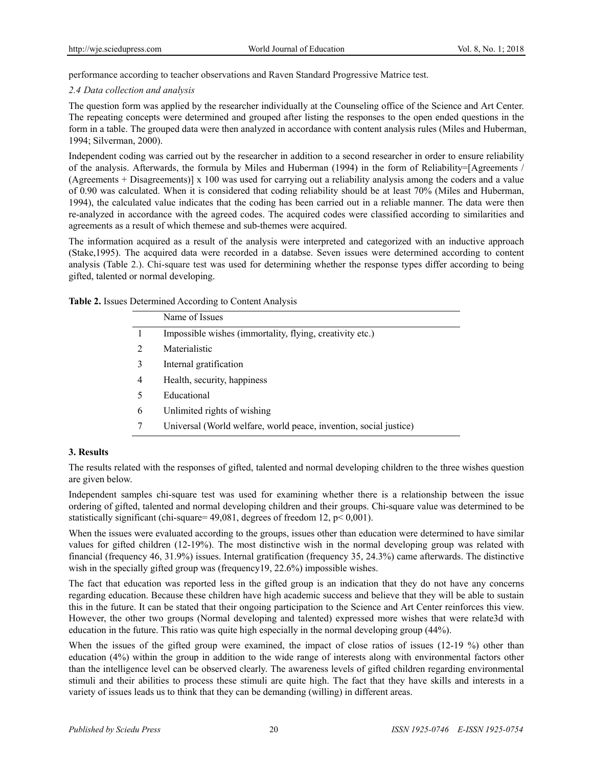performance according to teacher observations and Raven Standard Progressive Matrice test.

#### *2.4 Data collection and analysis*

The question form was applied by the researcher individually at the Counseling office of the Science and Art Center. The repeating concepts were determined and grouped after listing the responses to the open ended questions in the form in a table. The grouped data were then analyzed in accordance with content analysis rules (Miles and Huberman, 1994; Silverman, 2000).

Independent coding was carried out by the researcher in addition to a second researcher in order to ensure reliability of the analysis. Afterwards, the formula by Miles and Huberman (1994) in the form of Reliability=[Agreements / (Agreements + Disagreements)] x 100 was used for carrying out a reliability analysis among the coders and a value of 0.90 was calculated. When it is considered that coding reliability should be at least 70% (Miles and Huberman, 1994), the calculated value indicates that the coding has been carried out in a reliable manner. The data were then re-analyzed in accordance with the agreed codes. The acquired codes were classified according to similarities and agreements as a result of which themese and sub-themes were acquired.

The information acquired as a result of the analysis were interpreted and categorized with an inductive approach (Stake,1995). The acquired data were recorded in a databse. Seven issues were determined according to content analysis (Table 2.). Chi-square test was used for determining whether the response types differ according to being gifted, talented or normal developing.

| Table 2. Issues Determined According to Content Analysis |  |
|----------------------------------------------------------|--|
|----------------------------------------------------------|--|

|                | Name of Issues                                                    |
|----------------|-------------------------------------------------------------------|
|                | Impossible wishes (immortality, flying, creativity etc.)          |
| 2              | Materialistic                                                     |
| 3              | Internal gratification                                            |
| $\overline{4}$ | Health, security, happiness                                       |
|                | Educational                                                       |
| 6              | Unlimited rights of wishing                                       |
|                | Universal (World welfare, world peace, invention, social justice) |

## **3. Results**

The results related with the responses of gifted, talented and normal developing children to the three wishes question are given below.

Independent samples chi-square test was used for examining whether there is a relationship between the issue ordering of gifted, talented and normal developing children and their groups. Chi-square value was determined to be statistically significant (chi-square=  $49,081$ , degrees of freedom 12, p < 0,001).

When the issues were evaluated according to the groups, issues other than education were determined to have similar values for gifted children (12-19%). The most distinctive wish in the normal developing group was related with financial (frequency 46, 31.9%) issues. Internal gratification (frequency 35, 24.3%) came afterwards. The distinctive wish in the specially gifted group was (frequency19, 22.6%) impossible wishes.

The fact that education was reported less in the gifted group is an indication that they do not have any concerns regarding education. Because these children have high academic success and believe that they will be able to sustain this in the future. It can be stated that their ongoing participation to the Science and Art Center reinforces this view. However, the other two groups (Normal developing and talented) expressed more wishes that were relate3d with education in the future. This ratio was quite high especially in the normal developing group (44%).

When the issues of the gifted group were examined, the impact of close ratios of issues (12-19 %) other than education (4%) within the group in addition to the wide range of interests along with environmental factors other than the intelligence level can be observed clearly. The awareness levels of gifted children regarding environmental stimuli and their abilities to process these stimuli are quite high. The fact that they have skills and interests in a variety of issues leads us to think that they can be demanding (willing) in different areas.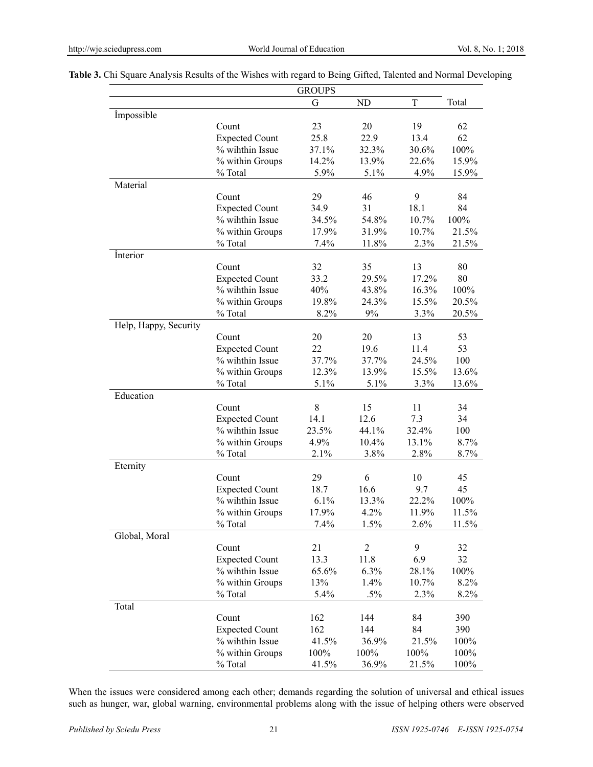|                       |                                          | <b>GROUPS</b> |                |       |       |
|-----------------------|------------------------------------------|---------------|----------------|-------|-------|
|                       |                                          | G             | ND             | T     | Total |
| <i>impossible</i>     |                                          |               |                |       |       |
|                       | Count                                    | 23            | 20             | 19    | 62    |
|                       | <b>Expected Count</b>                    | 25.8          | 22.9           | 13.4  | 62    |
|                       | % wihthin Issue                          | 37.1%         | 32.3%          | 30.6% | 100%  |
|                       | % within Groups                          | 14.2%         | 13.9%          | 22.6% | 15.9% |
|                       | % Total                                  | 5.9%          | 5.1%           | 4.9%  | 15.9% |
| Material              |                                          |               |                |       |       |
|                       | Count                                    | 29            | 46             | 9     | 84    |
|                       | <b>Expected Count</b>                    | 34.9          | 31             | 18.1  | 84    |
|                       | % wihthin Issue                          | 34.5%         | 54.8%          | 10.7% | 100%  |
|                       | % within Groups                          | 17.9%         | 31.9%          | 10.7% | 21.5% |
|                       | % Total                                  | 7.4%          | 11.8%          | 2.3%  | 21.5% |
| Interior              |                                          |               |                |       |       |
|                       | Count                                    | 32            | 35             | 13    | 80    |
|                       | <b>Expected Count</b>                    | 33.2          | 29.5%          | 17.2% | 80    |
|                       | % wihthin Issue                          | 40%           | 43.8%          | 16.3% | 100%  |
|                       | % within Groups                          | 19.8%         | 24.3%          | 15.5% | 20.5% |
|                       | % Total                                  | 8.2%          | 9%             | 3.3%  | 20.5% |
| Help, Happy, Security |                                          |               |                |       |       |
|                       | Count                                    | 20            | 20             | 13    | 53    |
|                       | <b>Expected Count</b>                    | 22            | 19.6           | 11.4  | 53    |
|                       | % wihthin Issue                          | 37.7%         | 37.7%          | 24.5% | 100   |
|                       | % within Groups                          | 12.3%         | 13.9%          | 15.5% | 13.6% |
|                       | % Total                                  | 5.1%          | 5.1%           | 3.3%  | 13.6% |
| Education             |                                          |               |                |       |       |
|                       | Count                                    | 8             | 15             | 11    | 34    |
|                       |                                          | 14.1          | 12.6           | 7.3   | 34    |
|                       | <b>Expected Count</b><br>% wihthin Issue | 23.5%         |                | 32.4% | 100   |
|                       |                                          |               | 44.1%          |       |       |
|                       | % within Groups                          | 4.9%          | 10.4%          | 13.1% | 8.7%  |
|                       | % Total                                  | 2.1%          | 3.8%           | 2.8%  | 8.7%  |
| Eternity              |                                          |               |                |       |       |
|                       | Count                                    | 29            | 6              | 10    | 45    |
|                       | <b>Expected Count</b>                    | 18.7          | 16.6           | 9.7   | 45    |
|                       | % wihthin Issue                          | 6.1%          | 13.3%          | 22.2% | 100%  |
|                       | % within Groups                          | 17.9%         | 4.2%           | 11.9% | 11.5% |
|                       | % Total                                  | 7.4%          | 1.5%           | 2.6%  | 11.5% |
| Global, Moral         |                                          |               |                |       |       |
|                       | Count                                    | 21            | $\overline{2}$ | 9     | 32    |
|                       | <b>Expected Count</b>                    | 13.3          | 11.8           | 6.9   | 32    |
|                       | % wihthin Issue                          | 65.6%         | 6.3%           | 28.1% | 100%  |
|                       | % within Groups                          | 13%           | 1.4%           | 10.7% | 8.2%  |
|                       | % Total                                  | 5.4%          | $.5\%$         | 2.3%  | 8.2%  |
| Total                 |                                          |               |                |       |       |
|                       | Count                                    | 162           | 144            | 84    | 390   |
|                       | <b>Expected Count</b>                    | 162           | 144            | 84    | 390   |
|                       | % wihthin Issue                          | 41.5%         | 36.9%          | 21.5% | 100%  |
|                       | % within Groups                          | 100%          | 100%           | 100%  | 100%  |
|                       | % Total                                  | 41.5%         | 36.9%          | 21.5% | 100%  |

**Table 3.** Chi Square Analysis Results of the Wishes with regard to Being Gifted, Talented and Normal Developing

When the issues were considered among each other; demands regarding the solution of universal and ethical issues such as hunger, war, global warning, environmental problems along with the issue of helping others were observed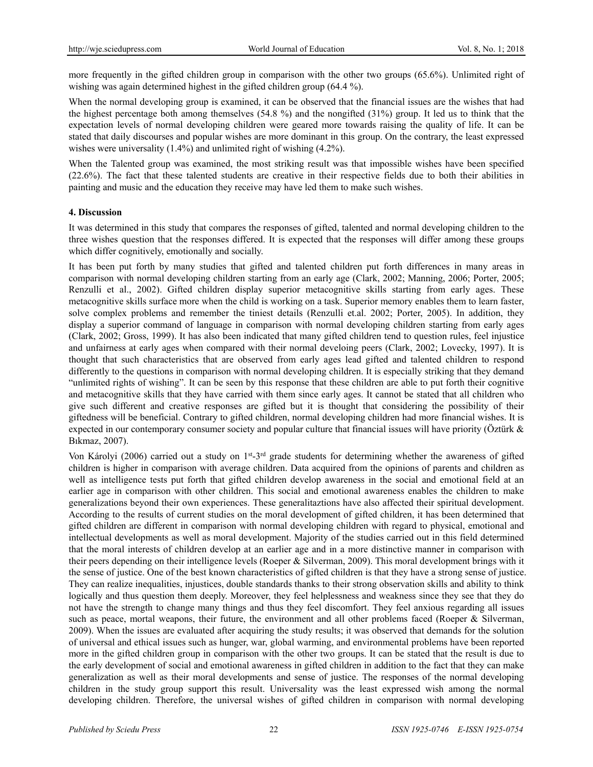more frequently in the gifted children group in comparison with the other two groups (65.6%). Unlimited right of wishing was again determined highest in the gifted children group (64.4 %).

When the normal developing group is examined, it can be observed that the financial issues are the wishes that had the highest percentage both among themselves (54.8 %) and the nongifted (31%) group. It led us to think that the expectation levels of normal developing children were geared more towards raising the quality of life. It can be stated that daily discourses and popular wishes are more dominant in this group. On the contrary, the least expressed wishes were universality (1.4%) and unlimited right of wishing (4.2%).

When the Talented group was examined, the most striking result was that impossible wishes have been specified (22.6%). The fact that these talented students are creative in their respective fields due to both their abilities in painting and music and the education they receive may have led them to make such wishes.

#### **4. Discussion**

It was determined in this study that compares the responses of gifted, talented and normal developing children to the three wishes question that the responses differed. It is expected that the responses will differ among these groups which differ cognitively, emotionally and socially.

It has been put forth by many studies that gifted and talented children put forth differences in many areas in comparison with normal developing children starting from an early age (Clark, 2002; Manning, 2006; Porter, 2005; Renzulli et al., 2002). Gifted children display superior metacognitive skills starting from early ages. These metacognitive skills surface more when the child is working on a task. Superior memory enables them to learn faster, solve complex problems and remember the tiniest details (Renzulli et.al. 2002; Porter, 2005). In addition, they display a superior command of language in comparison with normal developing children starting from early ages (Clark, 2002; Gross, 1999). It has also been indicated that many gifted children tend to question rules, feel injustice and unfairness at early ages when compared with their normal develoing peers (Clark, 2002; Lovecky, 1997). It is thought that such characteristics that are observed from early ages lead gifted and talented children to respond differently to the questions in comparison with normal developing children. It is especially striking that they demand "unlimited rights of wishing". It can be seen by this response that these children are able to put forth their cognitive and metacognitive skills that they have carried with them since early ages. It cannot be stated that all children who give such different and creative responses are gifted but it is thought that considering the possibility of their giftedness will be beneficial. Contrary to gifted children, normal developing children had more financial wishes. It is expected in our contemporary consumer society and popular culture that financial issues will have priority (Öztürk  $\&$ Bıkmaz, 2007).

Von Károlyi (2006) carried out a study on 1<sup>st</sup>-3<sup>rd</sup> grade students for determining whether the awareness of gifted children is higher in comparison with average children. Data acquired from the opinions of parents and children as well as intelligence tests put forth that gifted children develop awareness in the social and emotional field at an earlier age in comparison with other children. This social and emotional awareness enables the children to make generalizations beyond their own experiences. These generalitaztions have also affected their spiritual development. According to the results of current studies on the moral development of gifted children, it has been determined that gifted children are different in comparison with normal developing children with regard to physical, emotional and intellectual developments as well as moral development. Majority of the studies carried out in this field determined that the moral interests of children develop at an earlier age and in a more distinctive manner in comparison with their peers depending on their intelligence levels (Roeper & Silverman, 2009). This moral development brings with it the sense of justice. One of the best known characteristics of gifted children is that they have a strong sense of justice. They can realize inequalities, injustices, double standards thanks to their strong observation skills and ability to think logically and thus question them deeply. Moreover, they feel helplessness and weakness since they see that they do not have the strength to change many things and thus they feel discomfort. They feel anxious regarding all issues such as peace, mortal weapons, their future, the environment and all other problems faced (Roeper & Silverman, 2009). When the issues are evaluated after acquiring the study results; it was observed that demands for the solution of universal and ethical issues such as hunger, war, global warming, and environmental problems have been reported more in the gifted children group in comparison with the other two groups. It can be stated that the result is due to the early development of social and emotional awareness in gifted children in addition to the fact that they can make generalization as well as their moral developments and sense of justice. The responses of the normal developing children in the study group support this result. Universality was the least expressed wish among the normal developing children. Therefore, the universal wishes of gifted children in comparison with normal developing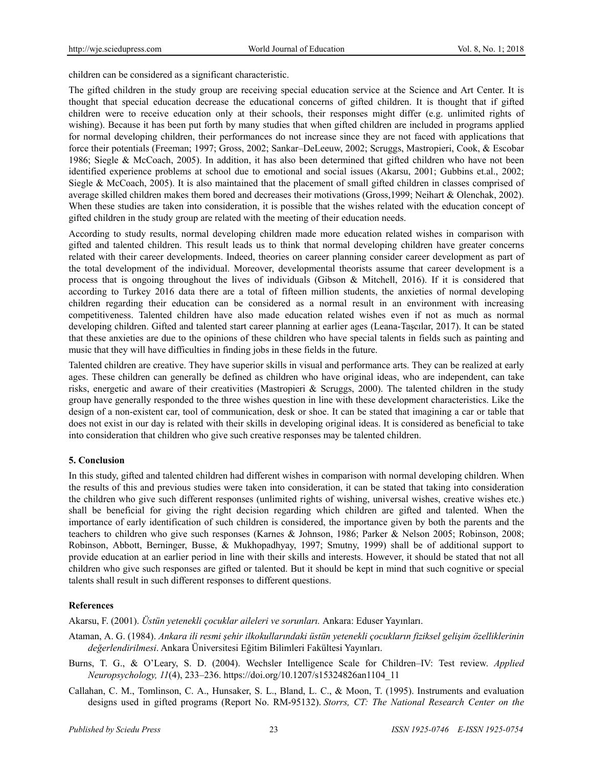children can be considered as a significant characteristic.

The gifted children in the study group are receiving special education service at the Science and Art Center. It is thought that special education decrease the educational concerns of gifted children. It is thought that if gifted children were to receive education only at their schools, their responses might differ (e.g. unlimited rights of wishing). Because it has been put forth by many studies that when gifted children are included in programs applied for normal developing children, their performances do not increase since they are not faced with applications that force their potentials (Freeman; 1997; Gross, 2002; Sankar–DeLeeuw, 2002; Scruggs, Mastropieri, Cook, & Escobar 1986; Siegle & McCoach, 2005). In addition, it has also been determined that gifted children who have not been identified experience problems at school due to emotional and social issues (Akarsu, 2001; Gubbins et.al., 2002; Siegle & McCoach, 2005). It is also maintained that the placement of small gifted children in classes comprised of average skilled children makes them bored and decreases their motivations (Gross,1999; Neihart & Olenchak, 2002). When these studies are taken into consideration, it is possible that the wishes related with the education concept of gifted children in the study group are related with the meeting of their education needs.

According to study results, normal developing children made more education related wishes in comparison with gifted and talented children. This result leads us to think that normal developing children have greater concerns related with their career developments. Indeed, theories on career planning consider career development as part of the total development of the individual. Moreover, developmental theorists assume that career development is a process that is ongoing throughout the lives of individuals (Gibson & Mitchell, 2016). If it is considered that according to Turkey 2016 data there are a total of fifteen million students, the anxieties of normal developing children regarding their education can be considered as a normal result in an environment with increasing competitiveness. Talented children have also made education related wishes even if not as much as normal developing children. Gifted and talented start career planning at earlier ages (Leana-Taşcılar, 2017). It can be stated that these anxieties are due to the opinions of these children who have special talents in fields such as painting and music that they will have difficulties in finding jobs in these fields in the future.

Talented children are creative. They have superior skills in visual and performance arts. They can be realized at early ages. These children can generally be defined as children who have original ideas, who are independent, can take risks, energetic and aware of their creativities (Mastropieri & Scruggs, 2000). The talented children in the study group have generally responded to the three wishes question in line with these development characteristics. Like the design of a non-existent car, tool of communication, desk or shoe. It can be stated that imagining a car or table that does not exist in our day is related with their skills in developing original ideas. It is considered as beneficial to take into consideration that children who give such creative responses may be talented children.

## **5. Conclusion**

In this study, gifted and talented children had different wishes in comparison with normal developing children. When the results of this and previous studies were taken into consideration, it can be stated that taking into consideration the children who give such different responses (unlimited rights of wishing, universal wishes, creative wishes etc.) shall be beneficial for giving the right decision regarding which children are gifted and talented. When the importance of early identification of such children is considered, the importance given by both the parents and the teachers to children who give such responses (Karnes & Johnson, 1986; Parker & Nelson 2005; Robinson, 2008; Robinson, Abbott, Berninger, Busse, & Mukhopadhyay, 1997; Smutny, 1999) shall be of additional support to provide education at an earlier period in line with their skills and interests. However, it should be stated that not all children who give such responses are gifted or talented. But it should be kept in mind that such cognitive or special talents shall result in such different responses to different questions.

# **References**

Akarsu, F. (2001). *Üstün yetenekli çocuklar aileleri ve sorunları.* Ankara: Eduser Yayınları.

- Ataman, A. G. (1984). *Ankara ili resmi şehir ilkokullarındaki üstün yetenekli çocukların fiziksel gelişim özelliklerinin değerlendirilmesi*. Ankara Üniversitesi Eğitim Bilimleri Fakültesi Yayınları.
- Burns, T. G., & O'Leary, S. D. (2004). Wechsler Intelligence Scale for Children–IV: Test review. *Applied Neuropsychology, 11*(4), 233–236. https://doi.org/10.1207/s15324826an1104\_11
- Callahan, C. M., Tomlinson, C. A., Hunsaker, S. L., Bland, L. C., & Moon, T. (1995). Instruments and evaluation designs used in gifted programs (Report No. RM-95132). *Storrs, CT: The National Research Center on the*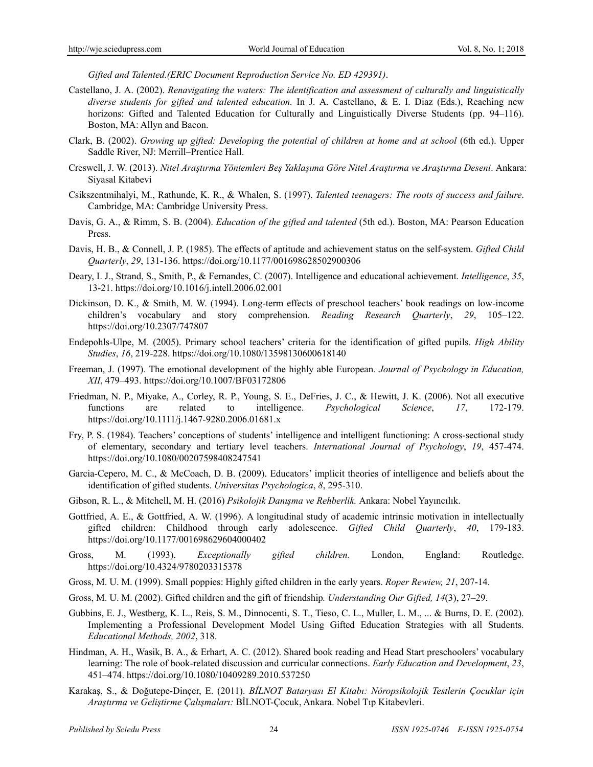*Gifted and Talented.(ERIC Document Reproduction Service No. ED 429391)*.

- Castellano, J. A. (2002). *Renavigating the waters: The identification and assessment of culturally and linguistically diverse students for gifted and talented education.* In J. A. Castellano, & E. I. Diaz (Eds.), Reaching new horizons: Gifted and Talented Education for Culturally and Linguistically Diverse Students (pp. 94–116). Boston, MA: Allyn and Bacon.
- Clark, B. (2002). *Growing up gifted: Developing the potential of children at home and at school* (6th ed.). Upper Saddle River, NJ: Merrill–Prentice Hall.
- Creswell, J. W. (2013). *Nitel Araştırma Yöntemleri Beş Yaklaşıma Göre Nitel Araştırma ve Araştırma Deseni*. Ankara: Siyasal Kitabevi
- Csikszentmihalyi, M., Rathunde, K. R., & Whalen, S. (1997). *Talented teenagers: The roots of success and failure*. Cambridge, MA: Cambridge University Press.
- Davis, G. A., & Rimm, S. B. (2004). *Education of the gifted and talented* (5th ed.). Boston, MA: Pearson Education Press.
- Davis, H. B., & Connell, J. P. (1985). The effects of aptitude and achievement status on the self-system. *Gifted Child Quarterly*, *29*, 131-136. https://doi.org/10.1177/001698628502900306
- Deary, I. J., Strand, S., Smith, P., & Fernandes, C. (2007). Intelligence and educational achievement. *Intelligence*, *35*, 13-21. https://doi.org/10.1016/j.intell.2006.02.001
- Dickinson, D. K., & Smith, M. W. (1994). Long-term effects of preschool teachers' book readings on low-income children's vocabulary and story comprehension. *Reading Research Quarterly*, *29*, 105–122. https://doi.org/10.2307/747807
- Endepohls-Ulpe, M. (2005). Primary school teachers' criteria for the identification of gifted pupils. *High Ability Studies*, *16*, 219-228. https://doi.org/10.1080/13598130600618140
- Freeman, J. (1997). The emotional development of the highly able European. *Journal of Psychology in Education, XII*, 479–493. https://doi.org/10.1007/BF03172806
- Friedman, N. P., Miyake, A., Corley, R. P., Young, S. E., DeFries, J. C., & Hewitt, J. K. (2006). Not all executive functions are related to intelligence. *Psychological Science*, *17*, 172-179. https://doi.org/10.1111/j.1467-9280.2006.01681.x
- Fry, P. S. (1984). Teachers' conceptions of students' intelligence and intelligent functioning: A cross-sectional study of elementary, secondary and tertiary level teachers. *International Journal of Psychology*, *19*, 457-474. https://doi.org/10.1080/00207598408247541
- Garcia-Cepero, M. C., & McCoach, D. B. (2009). Educators' implicit theories of intelligence and beliefs about the identification of gifted students. *Universitas Psychologica*, *8*, 295-310.
- Gibson, R. L., & Mitchell, M. H. (2016) *Psikolojik Danışma ve Rehberlik.* Ankara: Nobel Yayıncılık.
- Gottfried, A. E., & Gottfried, A. W. (1996). A longitudinal study of academic intrinsic motivation in intellectually gifted children: Childhood through early adolescence. *Gifted Child Quarterly*, *40*, 179-183. https://doi.org/10.1177/001698629604000402
- Gross, M. (1993). *Exceptionally gifted children.* London, England: Routledge. https://doi.org/10.4324/9780203315378
- Gross, M. U. M. (1999). Small poppies: Highly gifted children in the early years. *Roper Rewiew, 21*, 207-14.
- Gross, M. U. M. (2002). Gifted children and the gift of friendship*. Understanding Our Gifted, 14*(3), 27–29.
- Gubbins, E. J., Westberg, K. L., Reis, S. M., Dinnocenti, S. T., Tieso, C. L., Muller, L. M., ... & Burns, D. E. (2002). Implementing a Professional Development Model Using Gifted Education Strategies with all Students. *Educational Methods, 2002*, 318.
- Hindman, A. H., Wasik, B. A., & Erhart, A. C. (2012). Shared book reading and Head Start preschoolers' vocabulary learning: The role of book-related discussion and curricular connections. *Early Education and Development*, *23*, 451–474. https://doi.org/10.1080/10409289.2010.537250
- Karakaş, S., & Doğutepe-Dinçer, E. (2011). *BİLNOT Bataryası El Kitabı: Nöropsikolojik Testlerin Çocuklar için Araştırma ve Geliştirme Çalışmaları:* BİLNOT-Çocuk, Ankara. Nobel Tıp Kitabevleri.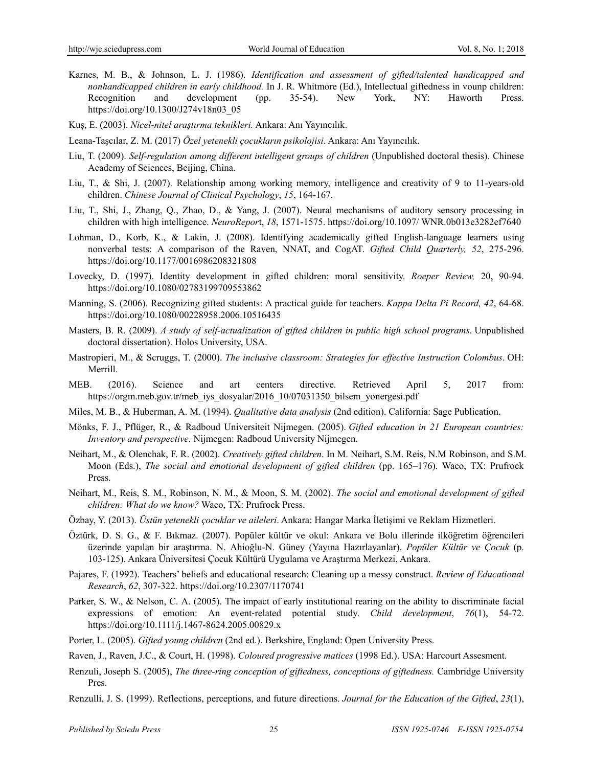- Karnes, M. B., & Johnson, L. J. (1986). *Identification and assessment of gifted/talented handicapped and nonhandicapped children in early childhood.* In J. R. Whitmore (Ed.), Intellectual giftedness in vounp children: Recognition and development (pp. 35-54). New York, NY: Haworth Press. https://doi.org/10.1300/J274v18n03\_05
- Kuş, E. (2003). *Nicel-nitel araştırma teknikleri.* Ankara: Anı Yayıncılık.
- Leana-Taşcılar, Z. M. (2017) *Özel yetenekli çocukların psikolojisi*. Ankara: Anı Yayıncılık.
- Liu, T. (2009). *Self-regulation among different intelligent groups of children* (Unpublished doctoral thesis). Chinese Academy of Sciences, Beijing, China.
- Liu, T., & Shi, J. (2007). Relationship among working memory, intelligence and creativity of 9 to 11-years-old children. *Chinese Journal of Clinical Psychology*, *15*, 164-167.
- Liu, T., Shi, J., Zhang, Q., Zhao, D., & Yang, J. (2007). Neural mechanisms of auditory sensory processing in children with high intelligence. *NeuroRepor*t, *18*, 1571-1575. https://doi.org/10.1097/ WNR.0b013e3282ef7640
- Lohman, D., Korb, K., & Lakin, J. (2008). Identifying academically gifted English-language learners using nonverbal tests: A comparison of the Raven, NNAT, and CogAT. *Gifted Child Quarterly, 52*, 275-296. https://doi.org/10.1177/0016986208321808
- Lovecky, D. (1997). Identity development in gifted children: moral sensitivity. *Roeper Review,* 20, 90-94. https://doi.org/10.1080/02783199709553862
- Manning, S. (2006). Recognizing gifted students: A practical guide for teachers. *Kappa Delta Pi Record, 42*, 64-68. https://doi.org/10.1080/00228958.2006.10516435
- Masters, B. R. (2009). *A study of self-actualization of gifted children in public high school programs*. Unpublished doctoral dissertation). Holos University, USA.
- Mastropieri, M., & Scruggs, T. (2000). *The inclusive classroom: Strategies for effective Instruction Colombus*. OH: Merrill.
- MEB. (2016). Science and art centers directive. Retrieved April 5, 2017 from: https://orgm.meb.gov.tr/meb\_iys\_dosyalar/2016\_10/07031350\_bilsem\_yonergesi.pdf
- Miles, M. B., & Huberman, A. M. (1994). *Qualitative data analysis* (2nd edition). California: Sage Publication.
- Mönks, F. J., Pflüger, R., & Radboud Universiteit Nijmegen. (2005). *Gifted education in 21 European countries: Inventory and perspective*. Nijmegen: Radboud University Nijmegen.
- Neihart, M., & Olenchak, F. R. (2002). *Creatively gifted children*. In M. Neihart, S.M. Reis, N.M Robinson, and S.M. Moon (Eds.), *The social and emotional development of gifted children* (pp. 165–176). Waco, TX: Prufrock Press.
- Neihart, M., Reis, S. M., Robinson, N. M., & Moon, S. M. (2002). *The social and emotional development of gifted children: What do we know?* Waco, TX: Prufrock Press.
- Özbay, Y. (2013). *Üstün yetenekli çocuklar ve aileleri*. Ankara: Hangar Marka İletişimi ve Reklam Hizmetleri.
- Öztürk, D. S. G., & F. Bıkmaz. (2007). Popüler kültür ve okul: Ankara ve Bolu illerinde ilköğretim öğrencileri üzerinde yapılan bir araştırma. N. Ahioğlu-N. Güney (Yayına Hazırlayanlar). *Popüler Kültür ve Çocuk* (p. 103-125). Ankara Üniversitesi Çocuk Kültürü Uygulama ve Araştırma Merkezi, Ankara.
- Pajares, F. (1992). Teachers' beliefs and educational research: Cleaning up a messy construct. *Review of Educational Research*, *62*, 307-322. https://doi.org/10.2307/1170741
- Parker, S. W., & Nelson, C. A. (2005). The impact of early institutional rearing on the ability to discriminate facial expressions of emotion: An event-related potential study. *Child development*, 76(1), 54-72. https://doi.org/10.1111/j.1467-8624.2005.00829.x
- Porter, L. (2005). *Gifted young children* (2nd ed.). Berkshire, England: Open University Press.
- Raven, J., Raven, J.C., & Court, H. (1998). *Coloured progressive matices* (1998 Ed.). USA: Harcourt Assesment.
- Renzuli, Joseph S. (2005), *The three-ring conception of giftedness, conceptions of giftedness.* Cambridge University Pres.
- Renzulli, J. S. (1999). Reflections, perceptions, and future directions. *Journal for the Education of the Gifted*, *23*(1),